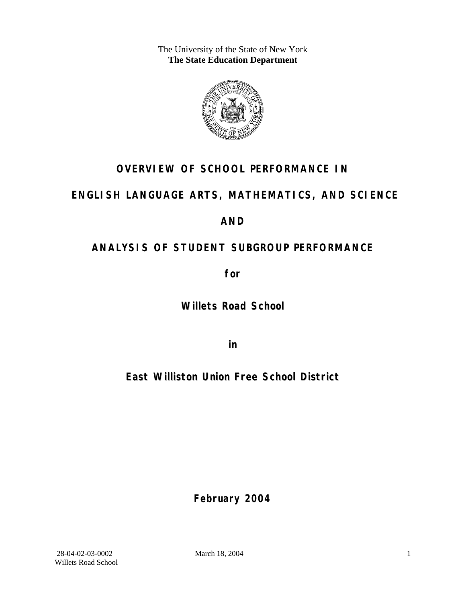The University of the State of New York **The State Education Department** 



# **OVERVIEW OF SCHOOL PERFORMANCE IN**

# **ENGLISH LANGUAGE ARTS, MATHEMATICS, AND SCIENCE**

# **AND**

# **ANALYSIS OF STUDENT SUBGROUP PERFORMANCE**

**for** 

**Willets Road School**

**in** 

**East Williston Union Free School District**

**February 2004**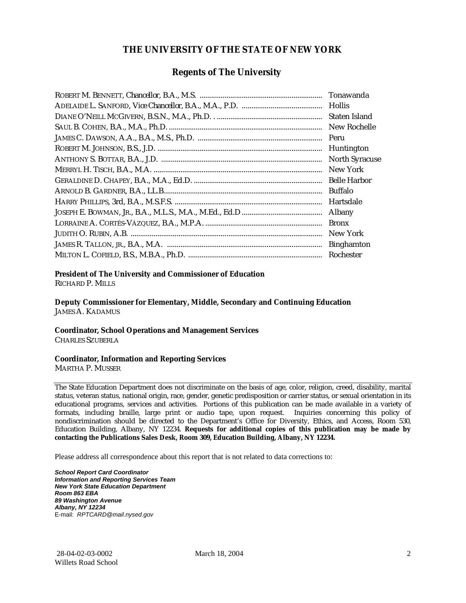## **THE UNIVERSITY OF THE STATE OF NEW YORK**

## **Regents of The University**

| Tonawanda             |
|-----------------------|
| <b>Hollis</b>         |
| Staten Island         |
| New Rochelle          |
| Peru                  |
| Huntington            |
| <b>North Syracuse</b> |
| New York              |
| <b>Belle Harbor</b>   |
| <b>Buffalo</b>        |
| Hartsdale             |
| Albany                |
| <b>Bronx</b>          |
| New York              |
| <b>Binghamton</b>     |
| Rochester             |

#### **President of The University and Commissioner of Education**

RICHARD P. MILLS

**Deputy Commissioner for Elementary, Middle, Secondary and Continuing Education**  JAMES A. KADAMUS

## **Coordinator, School Operations and Management Services**

CHARLES SZUBERLA

#### **Coordinator, Information and Reporting Services**

MARTHA P. MUSSER

The State Education Department does not discriminate on the basis of age, color, religion, creed, disability, marital status, veteran status, national origin, race, gender, genetic predisposition or carrier status, or sexual orientation in its educational programs, services and activities. Portions of this publication can be made available in a variety of formats, including braille, large print or audio tape, upon request. Inquiries concerning this policy of nondiscrimination should be directed to the Department's Office for Diversity, Ethics, and Access, Room 530, Education Building, Albany, NY 12234. **Requests for additional copies of this publication may be made by contacting the Publications Sales Desk, Room 309, Education Building, Albany, NY 12234.** 

Please address all correspondence about this report that is not related to data corrections to:

*School Report Card Coordinator Information and Reporting Services Team New York State Education Department Room 863 EBA 89 Washington Avenue Albany, NY 12234*  E-mail: *RPTCARD@mail.nysed.gov*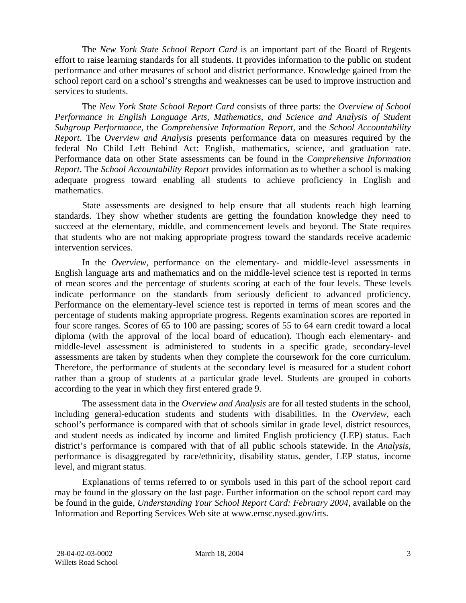The *New York State School Report Card* is an important part of the Board of Regents effort to raise learning standards for all students. It provides information to the public on student performance and other measures of school and district performance. Knowledge gained from the school report card on a school's strengths and weaknesses can be used to improve instruction and services to students.

The *New York State School Report Card* consists of three parts: the *Overview of School Performance in English Language Arts, Mathematics, and Science and Analysis of Student Subgroup Performance,* the *Comprehensive Information Report,* and the *School Accountability Report*. The *Overview and Analysis* presents performance data on measures required by the federal No Child Left Behind Act: English, mathematics, science, and graduation rate. Performance data on other State assessments can be found in the *Comprehensive Information Report*. The *School Accountability Report* provides information as to whether a school is making adequate progress toward enabling all students to achieve proficiency in English and mathematics.

State assessments are designed to help ensure that all students reach high learning standards. They show whether students are getting the foundation knowledge they need to succeed at the elementary, middle, and commencement levels and beyond. The State requires that students who are not making appropriate progress toward the standards receive academic intervention services.

In the *Overview*, performance on the elementary- and middle-level assessments in English language arts and mathematics and on the middle-level science test is reported in terms of mean scores and the percentage of students scoring at each of the four levels. These levels indicate performance on the standards from seriously deficient to advanced proficiency. Performance on the elementary-level science test is reported in terms of mean scores and the percentage of students making appropriate progress. Regents examination scores are reported in four score ranges. Scores of 65 to 100 are passing; scores of 55 to 64 earn credit toward a local diploma (with the approval of the local board of education). Though each elementary- and middle-level assessment is administered to students in a specific grade, secondary-level assessments are taken by students when they complete the coursework for the core curriculum. Therefore, the performance of students at the secondary level is measured for a student cohort rather than a group of students at a particular grade level. Students are grouped in cohorts according to the year in which they first entered grade 9.

The assessment data in the *Overview and Analysis* are for all tested students in the school, including general-education students and students with disabilities. In the *Overview*, each school's performance is compared with that of schools similar in grade level, district resources, and student needs as indicated by income and limited English proficiency (LEP) status. Each district's performance is compared with that of all public schools statewide. In the *Analysis*, performance is disaggregated by race/ethnicity, disability status, gender, LEP status, income level, and migrant status.

Explanations of terms referred to or symbols used in this part of the school report card may be found in the glossary on the last page. Further information on the school report card may be found in the guide, *Understanding Your School Report Card: February 2004*, available on the Information and Reporting Services Web site at www.emsc.nysed.gov/irts.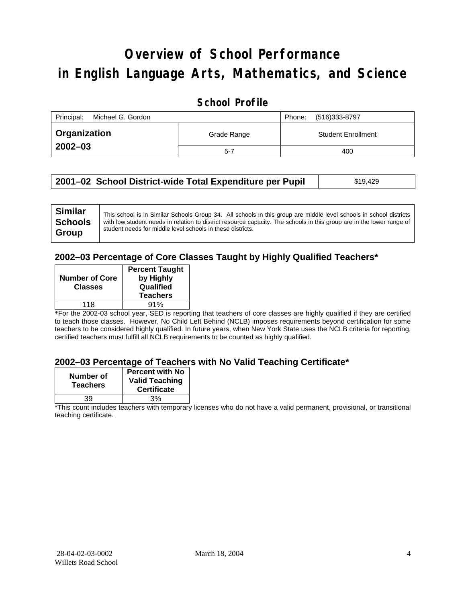# **Overview of School Performance in English Language Arts, Mathematics, and Science**

# **School Profile**

| Principal:<br>Michael G. Gordon |             | (516)333-8797<br>Phone:   |
|---------------------------------|-------------|---------------------------|
| <b>Organization</b>             | Grade Range | <b>Student Enrollment</b> |
| $2002 - 03$                     | $5 - 7$     | 400                       |

| 2001–02 School District-wide Total Expenditure per Pupil | \$19,429 |
|----------------------------------------------------------|----------|
|----------------------------------------------------------|----------|

## **2002–03 Percentage of Core Classes Taught by Highly Qualified Teachers\***

| <b>Percent Taught</b><br>by Highly<br>Qualified<br><b>Teachers</b> |
|--------------------------------------------------------------------|
| 91%                                                                |
|                                                                    |

\*For the 2002-03 school year, SED is reporting that teachers of core classes are highly qualified if they are certified to teach those classes. However, No Child Left Behind (NCLB) imposes requirements beyond certification for some teachers to be considered highly qualified. In future years, when New York State uses the NCLB criteria for reporting, certified teachers must fulfill all NCLB requirements to be counted as highly qualified.

### **2002–03 Percentage of Teachers with No Valid Teaching Certificate\***

| Number of<br><b>Teachers</b> | <b>Percent with No</b><br><b>Valid Teaching</b><br><b>Certificate</b> |
|------------------------------|-----------------------------------------------------------------------|
| 39                           | 3%                                                                    |

\*This count includes teachers with temporary licenses who do not have a valid permanent, provisional, or transitional teaching certificate.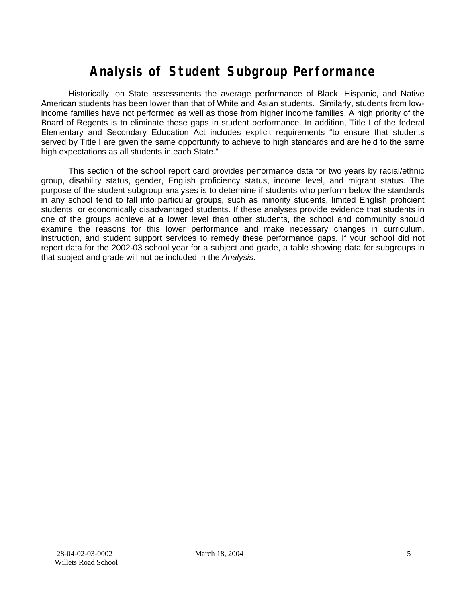# **Analysis of Student Subgroup Performance**

Historically, on State assessments the average performance of Black, Hispanic, and Native American students has been lower than that of White and Asian students. Similarly, students from lowincome families have not performed as well as those from higher income families. A high priority of the Board of Regents is to eliminate these gaps in student performance. In addition, Title I of the federal Elementary and Secondary Education Act includes explicit requirements "to ensure that students served by Title I are given the same opportunity to achieve to high standards and are held to the same high expectations as all students in each State."

This section of the school report card provides performance data for two years by racial/ethnic group, disability status, gender, English proficiency status, income level, and migrant status. The purpose of the student subgroup analyses is to determine if students who perform below the standards in any school tend to fall into particular groups, such as minority students, limited English proficient students, or economically disadvantaged students. If these analyses provide evidence that students in one of the groups achieve at a lower level than other students, the school and community should examine the reasons for this lower performance and make necessary changes in curriculum, instruction, and student support services to remedy these performance gaps. If your school did not report data for the 2002-03 school year for a subject and grade, a table showing data for subgroups in that subject and grade will not be included in the *Analysis*.